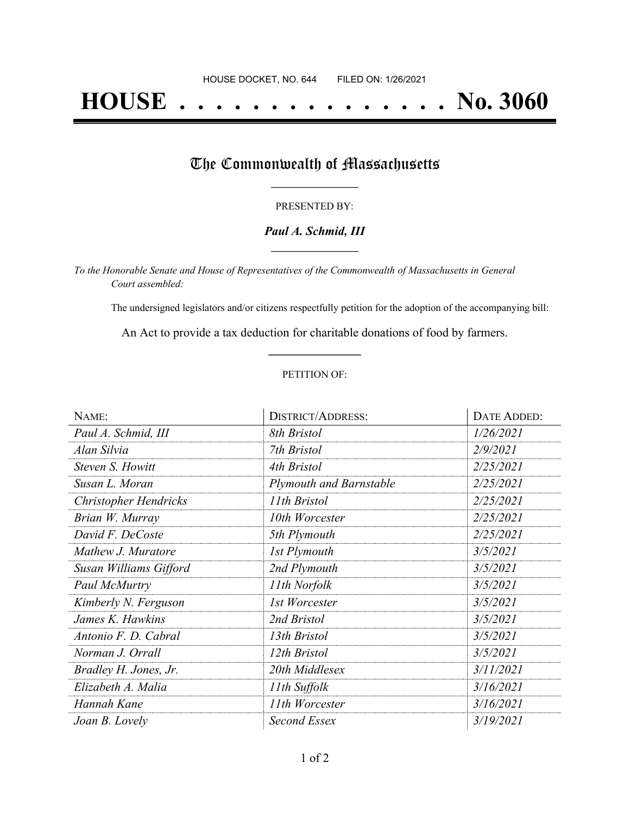# **HOUSE . . . . . . . . . . . . . . . No. 3060**

## The Commonwealth of Massachusetts

#### PRESENTED BY:

#### *Paul A. Schmid, III* **\_\_\_\_\_\_\_\_\_\_\_\_\_\_\_\_\_**

*To the Honorable Senate and House of Representatives of the Commonwealth of Massachusetts in General Court assembled:*

The undersigned legislators and/or citizens respectfully petition for the adoption of the accompanying bill:

An Act to provide a tax deduction for charitable donations of food by farmers. **\_\_\_\_\_\_\_\_\_\_\_\_\_\_\_**

#### PETITION OF:

| NAME:                        | <b>DISTRICT/ADDRESS:</b>       | DATE ADDED: |
|------------------------------|--------------------------------|-------------|
| Paul A. Schmid, III          | 8th Bristol                    | 1/26/2021   |
| Alan Silvia                  | 7th Bristol                    | 2/9/2021    |
| Steven S. Howitt             | 4th Bristol                    | 2/25/2021   |
| Susan L. Moran               | <b>Plymouth and Barnstable</b> | 2/25/2021   |
| <b>Christopher Hendricks</b> | 11th Bristol                   | 2/25/2021   |
| Brian W. Murray              | 10th Worcester                 | 2/25/2021   |
| David F. DeCoste             | 5th Plymouth                   | 2/25/2021   |
| Mathew J. Muratore           | 1st Plymouth                   | 3/5/2021    |
| Susan Williams Gifford       | 2nd Plymouth                   | 3/5/2021    |
| Paul McMurtry                | 11th Norfolk                   | 3/5/2021    |
| Kimberly N. Ferguson         | 1st Worcester                  | 3/5/2021    |
| James K. Hawkins             | 2nd Bristol                    | 3/5/2021    |
| Antonio F. D. Cabral         | 13th Bristol                   | 3/5/2021    |
| Norman J. Orrall             | 12th Bristol                   | 3/5/2021    |
| Bradley H. Jones, Jr.        | 20th Middlesex                 | 3/11/2021   |
| Elizabeth A. Malia           | 11th Suffolk                   | 3/16/2021   |
| Hannah Kane                  | 11th Worcester                 | 3/16/2021   |
| Joan B. Lovely               | Second Essex                   | 3/19/2021   |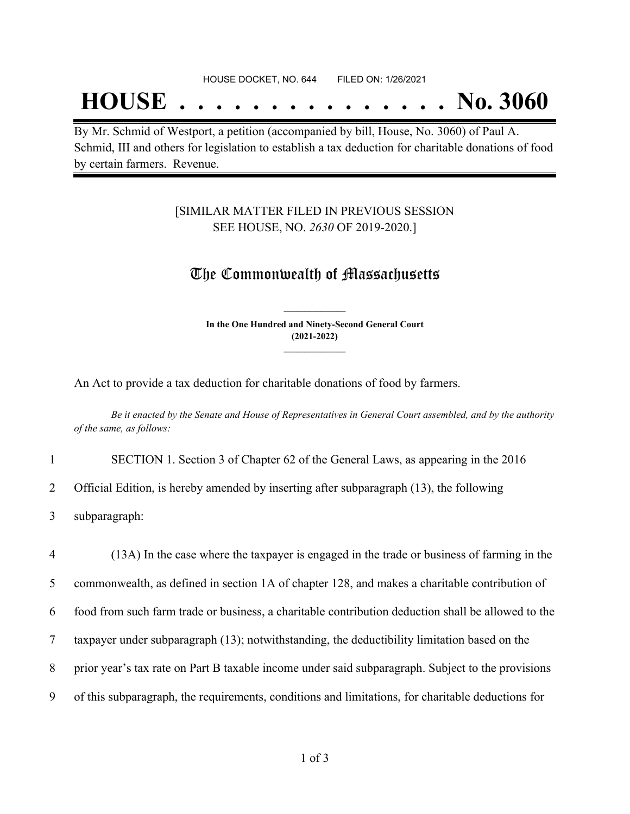## **HOUSE . . . . . . . . . . . . . . . No. 3060**

By Mr. Schmid of Westport, a petition (accompanied by bill, House, No. 3060) of Paul A. Schmid, III and others for legislation to establish a tax deduction for charitable donations of food by certain farmers. Revenue.

#### [SIMILAR MATTER FILED IN PREVIOUS SESSION SEE HOUSE, NO. *2630* OF 2019-2020.]

### The Commonwealth of Massachusetts

**In the One Hundred and Ninety-Second General Court (2021-2022) \_\_\_\_\_\_\_\_\_\_\_\_\_\_\_**

**\_\_\_\_\_\_\_\_\_\_\_\_\_\_\_**

An Act to provide a tax deduction for charitable donations of food by farmers.

Be it enacted by the Senate and House of Representatives in General Court assembled, and by the authority *of the same, as follows:*

1 SECTION 1. Section 3 of Chapter 62 of the General Laws, as appearing in the 2016

2 Official Edition, is hereby amended by inserting after subparagraph (13), the following

3 subparagraph:

 (13A) In the case where the taxpayer is engaged in the trade or business of farming in the commonwealth, as defined in section 1A of chapter 128, and makes a charitable contribution of food from such farm trade or business, a charitable contribution deduction shall be allowed to the taxpayer under subparagraph (13); notwithstanding, the deductibility limitation based on the prior year's tax rate on Part B taxable income under said subparagraph. Subject to the provisions of this subparagraph, the requirements, conditions and limitations, for charitable deductions for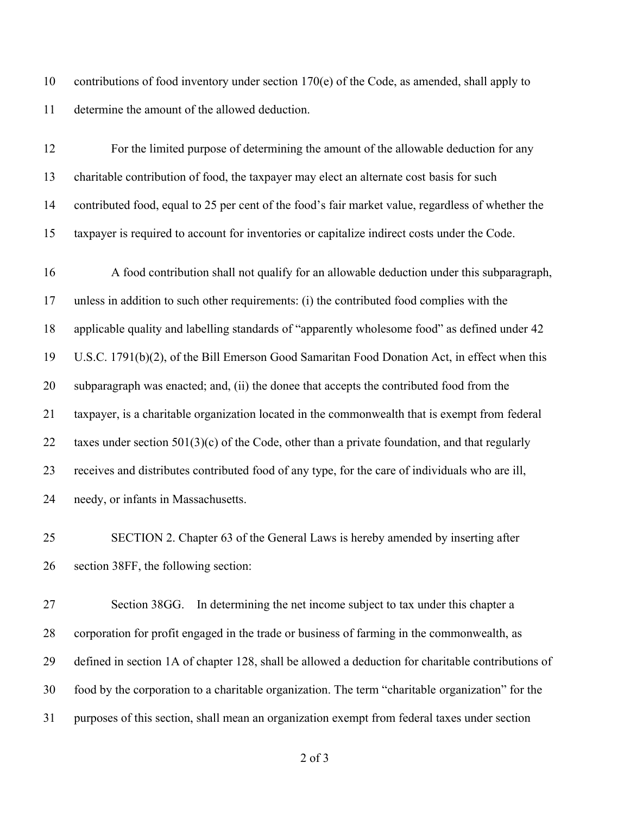10 contributions of food inventory under section  $170(e)$  of the Code, as amended, shall apply to determine the amount of the allowed deduction.

 For the limited purpose of determining the amount of the allowable deduction for any charitable contribution of food, the taxpayer may elect an alternate cost basis for such contributed food, equal to 25 per cent of the food's fair market value, regardless of whether the taxpayer is required to account for inventories or capitalize indirect costs under the Code.

 A food contribution shall not qualify for an allowable deduction under this subparagraph, unless in addition to such other requirements: (i) the contributed food complies with the applicable quality and labelling standards of "apparently wholesome food" as defined under 42 U.S.C. 1791(b)(2), of the Bill Emerson Good Samaritan Food Donation Act, in effect when this subparagraph was enacted; and, (ii) the donee that accepts the contributed food from the taxpayer, is a charitable organization located in the commonwealth that is exempt from federal 22 taxes under section  $501(3)(c)$  of the Code, other than a private foundation, and that regularly receives and distributes contributed food of any type, for the care of individuals who are ill, needy, or infants in Massachusetts.

 SECTION 2. Chapter 63 of the General Laws is hereby amended by inserting after section 38FF, the following section:

 Section 38GG. In determining the net income subject to tax under this chapter a corporation for profit engaged in the trade or business of farming in the commonwealth, as defined in section 1A of chapter 128, shall be allowed a deduction for charitable contributions of food by the corporation to a charitable organization. The term "charitable organization" for the purposes of this section, shall mean an organization exempt from federal taxes under section

of 3